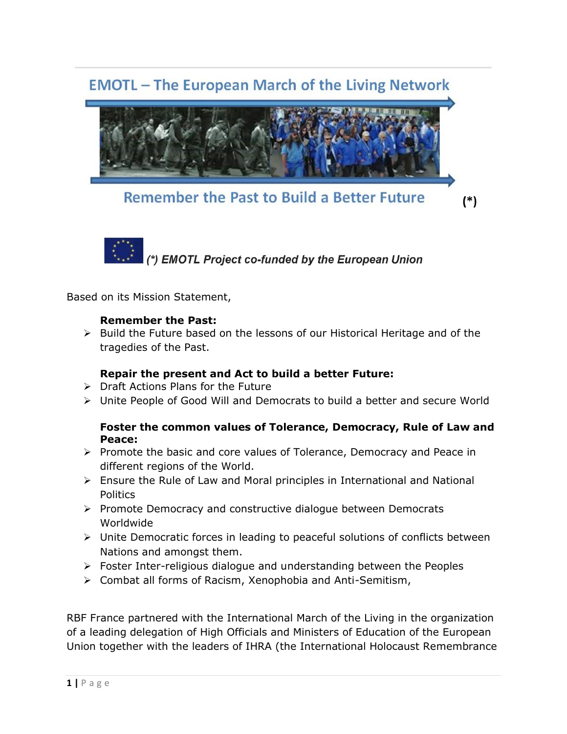# **EMOTL** - The European March of the Living Network



**Remember the Past to Build a Better Future** 

 $(*)$ 



Based on its Mission Statement,

## **Remember the Past:**

➢ Build the Future based on the lessons of our Historical Heritage and of the tragedies of the Past.

## **Repair the present and Act to build a better Future:**

- ➢ Draft Actions Plans for the Future
- ➢ Unite People of Good Will and Democrats to build a better and secure World

## **Foster the common values of Tolerance, Democracy, Rule of Law and Peace:**

- ➢ Promote the basic and core values of Tolerance, Democracy and Peace in different regions of the World.
- $\triangleright$  Ensure the Rule of Law and Moral principles in International and National Politics
- ➢ Promote Democracy and constructive dialogue between Democrats Worldwide
- ➢ Unite Democratic forces in leading to peaceful solutions of conflicts between Nations and amongst them.
- ➢ Foster Inter-religious dialogue and understanding between the Peoples
- ➢ Combat all forms of Racism, Xenophobia and Anti-Semitism,

RBF France partnered with the International March of the Living in the organization of a leading delegation of High Officials and Ministers of Education of the European Union together with the leaders of IHRA (the International Holocaust Remembrance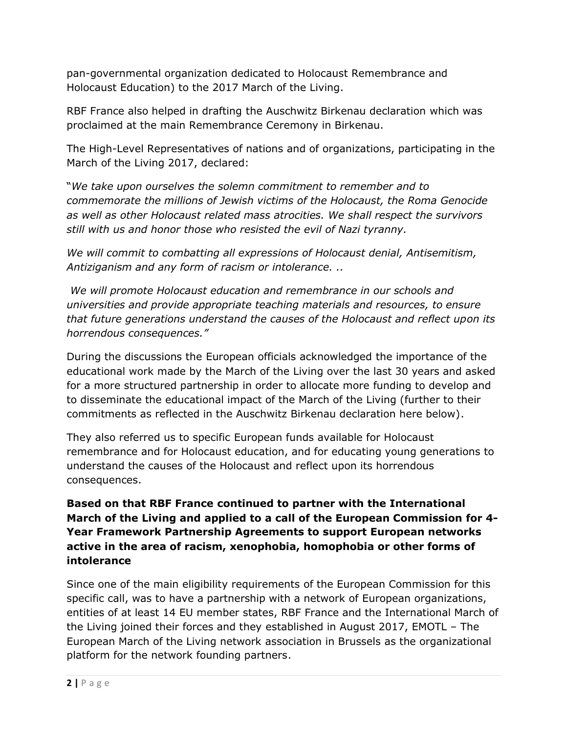pan-governmental organization dedicated to Holocaust Remembrance and Holocaust Education) to the 2017 March of the Living.

RBF France also helped in drafting the Auschwitz Birkenau declaration which was proclaimed at the main Remembrance Ceremony in Birkenau.

The High-Level Representatives of nations and of organizations, participating in the March of the Living 2017, declared:

"*We take upon ourselves the solemn commitment to remember and to commemorate the millions of Jewish victims of the Holocaust, the Roma Genocide as well as other Holocaust related mass atrocities. We shall respect the survivors still with us and honor those who resisted the evil of Nazi tyranny.* 

*We will commit to combatting all expressions of Holocaust denial, Antisemitism, Antiziganism and any form of racism or intolerance. ..*

*We will promote Holocaust education and remembrance in our schools and universities and provide appropriate teaching materials and resources, to ensure that future generations understand the causes of the Holocaust and reflect upon its horrendous consequences."* 

During the discussions the European officials acknowledged the importance of the educational work made by the March of the Living over the last 30 years and asked for a more structured partnership in order to allocate more funding to develop and to disseminate the educational impact of the March of the Living (further to their commitments as reflected in the Auschwitz Birkenau declaration here below).

They also referred us to specific European funds available for Holocaust remembrance and for Holocaust education, and for educating young generations to understand the causes of the Holocaust and reflect upon its horrendous consequences.

## **Based on that RBF France continued to partner with the International March of the Living and applied to a call of the European Commission for 4- Year Framework Partnership Agreements to support European networks active in the area of racism, xenophobia, homophobia or other forms of intolerance**

Since one of the main eligibility requirements of the European Commission for this specific call, was to have a partnership with a network of European organizations, entities of at least 14 EU member states, RBF France and the International March of the Living joined their forces and they established in August 2017, EMOTL – The European March of the Living network association in Brussels as the organizational platform for the network founding partners.